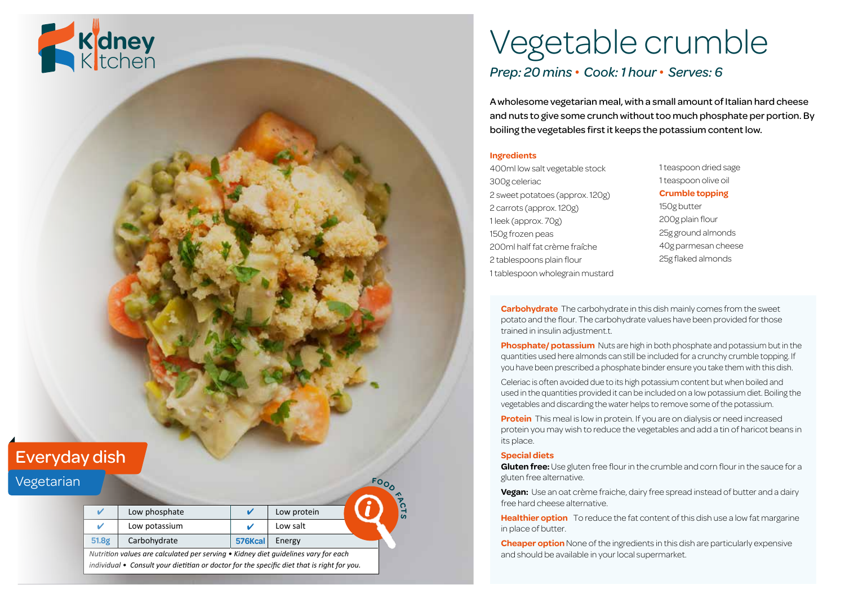

# Vegetable crumble

## *Prep: 20 mins • Cook: 1 hour • Serves: 6*

A wholesome vegetarian meal, with a small amount of Italian hard cheese and nuts to give some crunch without too much phosphate per portion. By boiling the vegetables first it keeps the potassium content low.

#### **Ingredients**

400ml low salt vegetable stock 300g celeriac 2 sweet potatoes (approx. 120g) 2 carrots (approx. 120g) 1 leek (approx. 70g) 150g frozen peas 200ml half fat crème fraîche 2 tablespoons plain flour 1 tablespoon wholegrain mustard 1 teaspoon dried sage 1 teaspoon olive oil

#### **Crumble topping**

150g butter 200g plain flour 25g ground almonds 40g parmesan cheese 25g flaked almonds

**Carbohydrate** The carbohydrate in this dish mainly comes from the sweet potato and the flour. The carbohydrate values have been provided for those trained in insulin adjustment.t.

**Phosphate/ potassium** Nuts are high in both phosphate and potassium but in the quantities used here almonds can still be included for a crunchy crumble topping. If you have been prescribed a phosphate binder ensure you take them with this dish.

Celeriac is often avoided due to its high potassium content but when boiled and used in the quantities provided it can be included on a low potassium diet. Boiling the vegetables and discarding the water helps to remove some of the potassium.

**Protein** This meal is low in protein. If you are on dialysis or need increased protein you may wish to reduce the vegetables and add a tin of haricot beans in its place.

#### **Special diets**

**Gluten free:** Use gluten free flour in the crumble and corn flour in the sauce for a gluten free alternative.

**Vegan:** Use an oat crème fraiche, dairy free spread instead of butter and a dairy free hard cheese alternative.

**Healthier option** To reduce the fat content of this dish use a low fat margarine in place of butter.

**Cheaper option** None of the ingredients in this dish are particularly expensive and should be available in your local supermarket.

## Everyday dish

### Vegetarian

|                                                                                    |               |         |             |  | $\triangleleft$ |
|------------------------------------------------------------------------------------|---------------|---------|-------------|--|-----------------|
|                                                                                    | Low phosphate |         | Low protein |  | ි               |
|                                                                                    | Low potassium |         | Low salt    |  |                 |
| 51.8g                                                                              | Carbohydrate  | 576Kcal | Energy      |  |                 |
| Nutrition values are calculated per serving • Kidney diet quidelines vary for each |               |         |             |  |                 |

**<sup>F</sup>OO<sup>D</sup>**

*individual • Consult your dietitian or doctor for the specific diet that is right for you.*